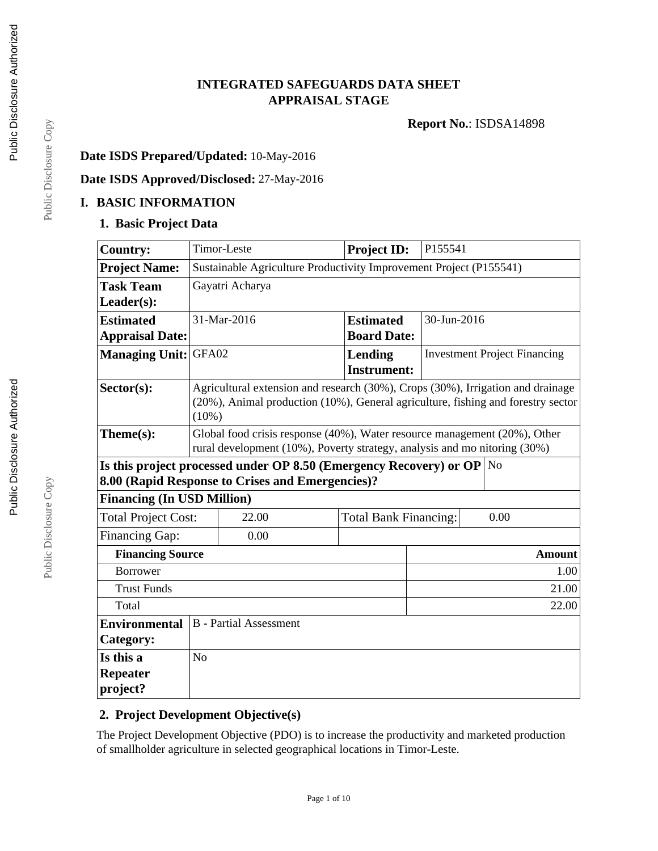## **INTEGRATED SAFEGUARDS DATA SHEET APPRAISAL STAGE**

**Report No.**: ISDSA14898

### **Date ISDS Prepared/Updated:** 10-May-2016

# **Date ISDS Approved/Disclosed:** 27-May-2016

#### **I. BASIC INFORMATION**

#### **1. Basic Project Data**

| <b>Country:</b>                   |                                                                               | Timor-Leste                                                                      | <b>Project ID:</b>           |             | P155541 |                                     |  |
|-----------------------------------|-------------------------------------------------------------------------------|----------------------------------------------------------------------------------|------------------------------|-------------|---------|-------------------------------------|--|
| <b>Project Name:</b>              | Sustainable Agriculture Productivity Improvement Project (P155541)            |                                                                                  |                              |             |         |                                     |  |
| <b>Task Team</b>                  | Gayatri Acharya                                                               |                                                                                  |                              |             |         |                                     |  |
| $Leader(s)$ :                     |                                                                               |                                                                                  |                              |             |         |                                     |  |
| <b>Estimated</b>                  |                                                                               | 31-Mar-2016                                                                      | <b>Estimated</b>             | 30-Jun-2016 |         |                                     |  |
| <b>Appraisal Date:</b>            |                                                                               |                                                                                  | <b>Board Date:</b>           |             |         |                                     |  |
| <b>Managing Unit: GFA02</b>       |                                                                               |                                                                                  | Lending                      |             |         | <b>Investment Project Financing</b> |  |
|                                   |                                                                               |                                                                                  | <b>Instrument:</b>           |             |         |                                     |  |
| $Sector(s)$ :                     |                                                                               | Agricultural extension and research (30%), Crops (30%), Irrigation and drainage  |                              |             |         |                                     |  |
|                                   |                                                                               | (20%), Animal production (10%), General agriculture, fishing and forestry sector |                              |             |         |                                     |  |
|                                   | $(10\%)$                                                                      |                                                                                  |                              |             |         |                                     |  |
| Theme(s):                         | Global food crisis response (40%), Water resource management (20%), Other     |                                                                                  |                              |             |         |                                     |  |
|                                   |                                                                               | rural development (10%), Poverty strategy, analysis and mo nitoring (30%)        |                              |             |         |                                     |  |
|                                   | Is this project processed under OP 8.50 (Emergency Recovery) or OP $\vert$ No |                                                                                  |                              |             |         |                                     |  |
|                                   |                                                                               | 8.00 (Rapid Response to Crises and Emergencies)?                                 |                              |             |         |                                     |  |
| <b>Financing (In USD Million)</b> |                                                                               |                                                                                  |                              |             |         |                                     |  |
| <b>Total Project Cost:</b>        |                                                                               | 22.00                                                                            | <b>Total Bank Financing:</b> |             |         | 0.00                                |  |
| <b>Financing Gap:</b>             |                                                                               | 0.00                                                                             |                              |             |         |                                     |  |
| <b>Financing Source</b>           |                                                                               |                                                                                  |                              |             |         | <b>Amount</b>                       |  |
| <b>Borrower</b>                   |                                                                               |                                                                                  |                              |             |         | 1.00                                |  |
| <b>Trust Funds</b>                | 21.00                                                                         |                                                                                  |                              |             |         |                                     |  |
| 22.00<br>Total                    |                                                                               |                                                                                  |                              |             |         |                                     |  |
| <b>Environmental</b>              | <b>B</b> - Partial Assessment                                                 |                                                                                  |                              |             |         |                                     |  |
| Category:                         |                                                                               |                                                                                  |                              |             |         |                                     |  |
| Is this a                         | No                                                                            |                                                                                  |                              |             |         |                                     |  |
| <b>Repeater</b>                   |                                                                               |                                                                                  |                              |             |         |                                     |  |
| project?                          |                                                                               |                                                                                  |                              |             |         |                                     |  |

### **2. Project Development Objective(s)**

The Project Development Objective (PDO) is to increase the productivity and marketed production of smallholder agriculture in selected geographical locations in Timor-Leste.

Page 1 of 10

Public Disclosure Copy Public Disclosure Copy

Public Disclosure Copy

Public Disclosure Copy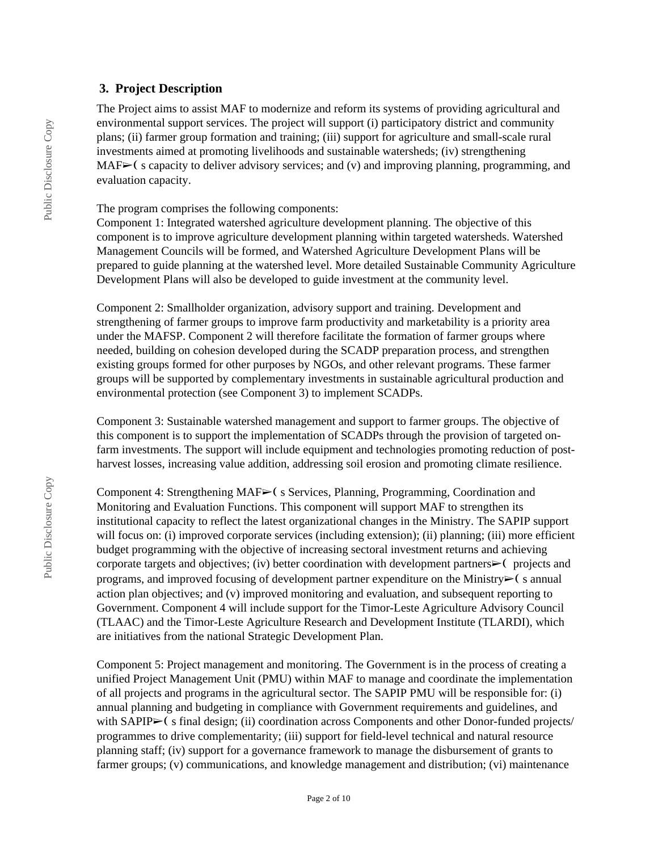### **3. Project Description**

The Project aims to assist MAF to modernize and reform its systems of providing agricultural and environmental support services. The project will support (i) participatory district and community plans; (ii) farmer group formation and training; (iii) support for agriculture and small-scale rural investments aimed at promoting livelihoods and sustainable watersheds; (iv) strengthening  $MAF<sub>></sub>$  (s capacity to deliver advisory services; and (v) and improving planning, programming, and evaluation capacity.

The program comprises the following components:

Component 1: Integrated watershed agriculture development planning. The objective of this component is to improve agriculture development planning within targeted watersheds. Watershed Management Councils will be formed, and Watershed Agriculture Development Plans will be prepared to guide planning at the watershed level. More detailed Sustainable Community Agriculture Development Plans will also be developed to guide investment at the community level.

Component 2: Smallholder organization, advisory support and training. Development and strengthening of farmer groups to improve farm productivity and marketability is a priority area under the MAFSP. Component 2 will therefore facilitate the formation of farmer groups where needed, building on cohesion developed during the SCADP preparation process, and strengthen existing groups formed for other purposes by NGOs, and other relevant programs. These farmer groups will be supported by complementary investments in sustainable agricultural production and environmental protection (see Component 3) to implement SCADPs.

Component 3: Sustainable watershed management and support to farmer groups. The objective of this component is to support the implementation of SCADPs through the provision of targeted onfarm investments. The support will include equipment and technologies promoting reduction of postharvest losses, increasing value addition, addressing soil erosion and promoting climate resilience.

Component 4: Strengthening MAF➢❨ s Services, Planning, Programming, Coordination and Monitoring and Evaluation Functions. This component will support MAF to strengthen its institutional capacity to reflect the latest organizational changes in the Ministry. The SAPIP support will focus on: (i) improved corporate services (including extension); (ii) planning; (iii) more efficient budget programming with the objective of increasing sectoral investment returns and achieving corporate targets and objectives; (iv) better coordination with development partners $\triangleright$  ( projects and programs, and improved focusing of development partner expenditure on the Ministry $\triangleright$  (s annual action plan objectives; and (v) improved monitoring and evaluation, and subsequent reporting to Government. Component 4 will include support for the Timor-Leste Agriculture Advisory Council (TLAAC) and the Timor-Leste Agriculture Research and Development Institute (TLARDI), which are initiatives from the national Strategic Development Plan.

Component 5: Project management and monitoring. The Government is in the process of creating a unified Project Management Unit (PMU) within MAF to manage and coordinate the implementation of all projects and programs in the agricultural sector. The SAPIP PMU will be responsible for: (i) annual planning and budgeting in compliance with Government requirements and guidelines, and with SAPIP $\blacktriangleright$  (s final design; (ii) coordination across Components and other Donor-funded projects/ programmes to drive complementarity; (iii) support for field-level technical and natural resource planning staff; (iv) support for a governance framework to manage the disbursement of grants to farmer groups; (v) communications, and knowledge management and distribution; (vi) maintenance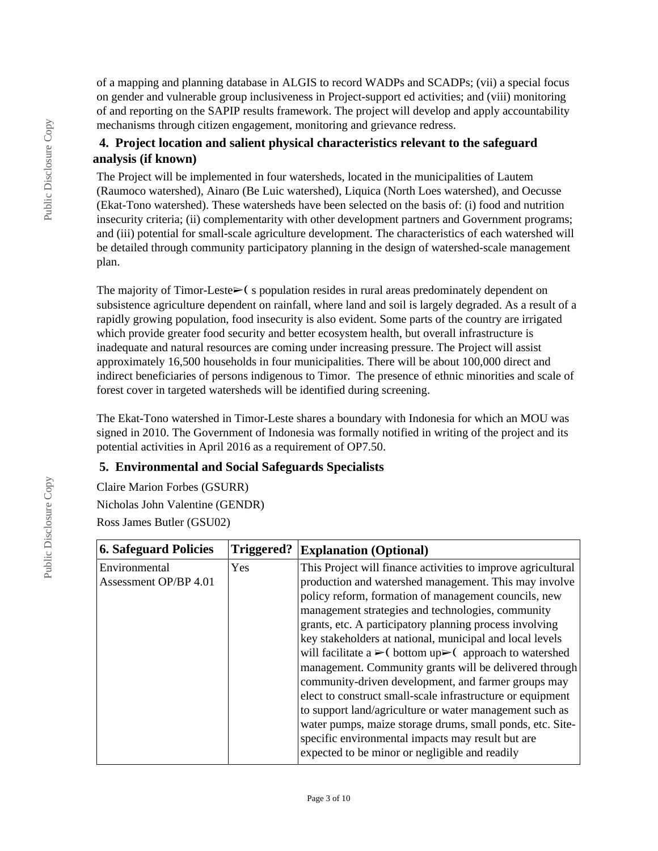of a mapping and planning database in ALGIS to record WADPs and SCADPs; (vii) a special focus on gender and vulnerable group inclusiveness in Project-support ed activities; and (viii) monitoring of and reporting on the SAPIP results framework. The project will develop and apply accountability mechanisms through citizen engagement, monitoring and grievance redress.

### **4. Project location and salient physical characteristics relevant to the safeguard analysis (if known)**

The Project will be implemented in four watersheds, located in the municipalities of Lautem (Raumoco watershed), Ainaro (Be Luic watershed), Liquica (North Loes watershed), and Oecusse (Ekat-Tono watershed). These watersheds have been selected on the basis of: (i) food and nutrition insecurity criteria; (ii) complementarity with other development partners and Government programs; and (iii) potential for small-scale agriculture development. The characteristics of each watershed will be detailed through community participatory planning in the design of watershed-scale management plan.

The majority of Timor-Leste $\triangleright$  (s population resides in rural areas predominately dependent on subsistence agriculture dependent on rainfall, where land and soil is largely degraded. As a result of a rapidly growing population, food insecurity is also evident. Some parts of the country are irrigated which provide greater food security and better ecosystem health, but overall infrastructure is inadequate and natural resources are coming under increasing pressure. The Project will assist approximately 16,500 households in four municipalities. There will be about 100,000 direct and indirect beneficiaries of persons indigenous to Timor. The presence of ethnic minorities and scale of forest cover in targeted watersheds will be identified during screening.

The Ekat-Tono watershed in Timor-Leste shares a boundary with Indonesia for which an MOU was signed in 2010. The Government of Indonesia was formally notified in writing of the project and its potential activities in April 2016 as a requirement of OP7.50.

### **5. Environmental and Social Safeguards Specialists**

Claire Marion Forbes (GSURR) Nicholas John Valentine (GENDR) Ross James Butler (GSU02)

| <b>6. Safeguard Policies</b>           | Triggered? | <b>Explanation (Optional)</b>                                                                                                                                                                                                                                                                                                                                                                                                                                                                                                                                       |
|----------------------------------------|------------|---------------------------------------------------------------------------------------------------------------------------------------------------------------------------------------------------------------------------------------------------------------------------------------------------------------------------------------------------------------------------------------------------------------------------------------------------------------------------------------------------------------------------------------------------------------------|
| Environmental<br>Assessment OP/BP 4.01 | Yes        | This Project will finance activities to improve agricultural<br>production and watershed management. This may involve<br>policy reform, formation of management councils, new<br>management strategies and technologies, community<br>grants, etc. A participatory planning process involving<br>key stakeholders at national, municipal and local levels<br>will facilitate a $\triangleright$ (bottom up $\triangleright$ (approach to watershed<br>management. Community grants will be delivered through<br>community-driven development, and farmer groups may |
|                                        |            | elect to construct small-scale infrastructure or equipment<br>to support land/agriculture or water management such as<br>water pumps, maize storage drums, small ponds, etc. Site-<br>specific environmental impacts may result but are<br>expected to be minor or negligible and readily                                                                                                                                                                                                                                                                           |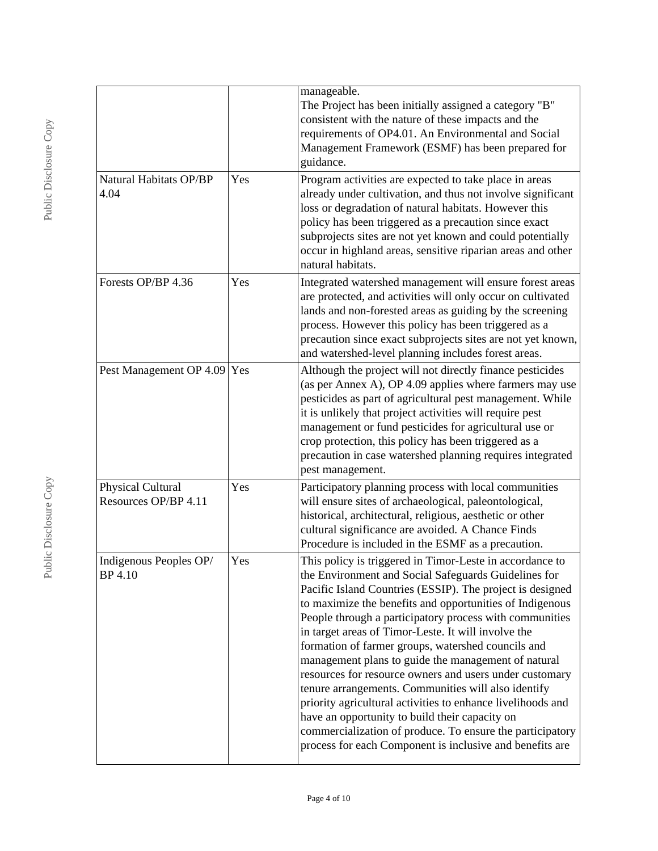|                                           |     | manageable.<br>The Project has been initially assigned a category "B"<br>consistent with the nature of these impacts and the<br>requirements of OP4.01. An Environmental and Social<br>Management Framework (ESMF) has been prepared for<br>guidance.                                                                                                                                                                                                                                                                                                                                                                                                                                                                                                                                                                                |
|-------------------------------------------|-----|--------------------------------------------------------------------------------------------------------------------------------------------------------------------------------------------------------------------------------------------------------------------------------------------------------------------------------------------------------------------------------------------------------------------------------------------------------------------------------------------------------------------------------------------------------------------------------------------------------------------------------------------------------------------------------------------------------------------------------------------------------------------------------------------------------------------------------------|
| Natural Habitats OP/BP<br>4.04            | Yes | Program activities are expected to take place in areas<br>already under cultivation, and thus not involve significant<br>loss or degradation of natural habitats. However this<br>policy has been triggered as a precaution since exact<br>subprojects sites are not yet known and could potentially<br>occur in highland areas, sensitive riparian areas and other<br>natural habitats.                                                                                                                                                                                                                                                                                                                                                                                                                                             |
| Forests OP/BP 4.36                        | Yes | Integrated watershed management will ensure forest areas<br>are protected, and activities will only occur on cultivated<br>lands and non-forested areas as guiding by the screening<br>process. However this policy has been triggered as a<br>precaution since exact subprojects sites are not yet known,<br>and watershed-level planning includes forest areas.                                                                                                                                                                                                                                                                                                                                                                                                                                                                    |
| Pest Management OP 4.09 Yes               |     | Although the project will not directly finance pesticides<br>(as per Annex A), OP 4.09 applies where farmers may use<br>pesticides as part of agricultural pest management. While<br>it is unlikely that project activities will require pest<br>management or fund pesticides for agricultural use or<br>crop protection, this policy has been triggered as a<br>precaution in case watershed planning requires integrated<br>pest management.                                                                                                                                                                                                                                                                                                                                                                                      |
| Physical Cultural<br>Resources OP/BP 4.11 | Yes | Participatory planning process with local communities<br>will ensure sites of archaeological, paleontological,<br>historical, architectural, religious, aesthetic or other<br>cultural significance are avoided. A Chance Finds<br>Procedure is included in the ESMF as a precaution.                                                                                                                                                                                                                                                                                                                                                                                                                                                                                                                                                |
| Indigenous Peoples OP/<br>BP 4.10         | Yes | This policy is triggered in Timor-Leste in accordance to<br>the Environment and Social Safeguards Guidelines for<br>Pacific Island Countries (ESSIP). The project is designed<br>to maximize the benefits and opportunities of Indigenous<br>People through a participatory process with communities<br>in target areas of Timor-Leste. It will involve the<br>formation of farmer groups, watershed councils and<br>management plans to guide the management of natural<br>resources for resource owners and users under customary<br>tenure arrangements. Communities will also identify<br>priority agricultural activities to enhance livelihoods and<br>have an opportunity to build their capacity on<br>commercialization of produce. To ensure the participatory<br>process for each Component is inclusive and benefits are |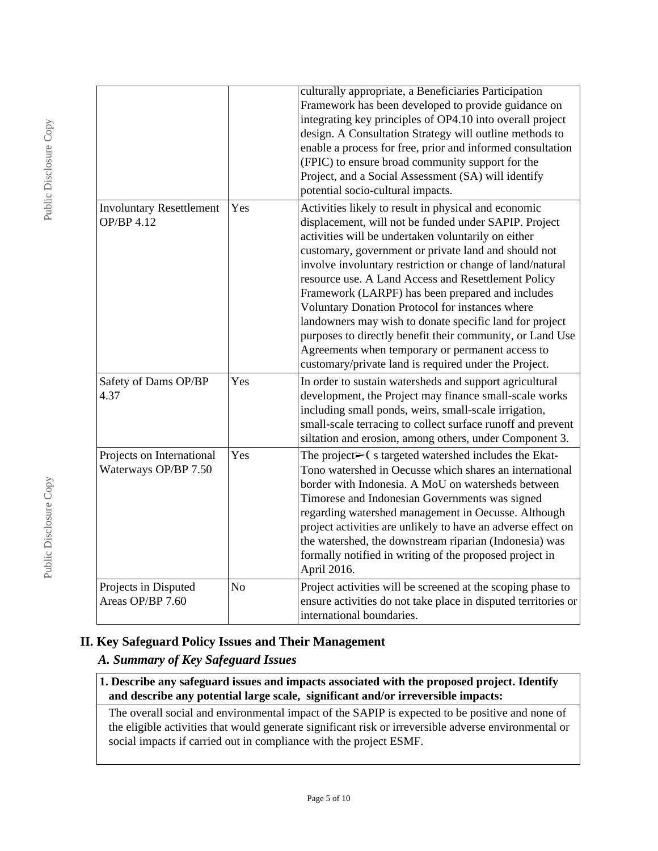|                                                      |     | culturally appropriate, a Beneficiaries Participation<br>Framework has been developed to provide guidance on<br>integrating key principles of OP4.10 into overall project<br>design. A Consultation Strategy will outline methods to<br>enable a process for free, prior and informed consultation<br>(FPIC) to ensure broad community support for the<br>Project, and a Social Assessment (SA) will identify<br>potential socio-cultural impacts.                                                                                                                                                                                                                                           |
|------------------------------------------------------|-----|----------------------------------------------------------------------------------------------------------------------------------------------------------------------------------------------------------------------------------------------------------------------------------------------------------------------------------------------------------------------------------------------------------------------------------------------------------------------------------------------------------------------------------------------------------------------------------------------------------------------------------------------------------------------------------------------|
| <b>Involuntary Resettlement</b><br><b>OP/BP 4.12</b> | Yes | Activities likely to result in physical and economic<br>displacement, will not be funded under SAPIP. Project<br>activities will be undertaken voluntarily on either<br>customary, government or private land and should not<br>involve involuntary restriction or change of land/natural<br>resource use. A Land Access and Resettlement Policy<br>Framework (LARPF) has been prepared and includes<br>Voluntary Donation Protocol for instances where<br>landowners may wish to donate specific land for project<br>purposes to directly benefit their community, or Land Use<br>Agreements when temporary or permanent access to<br>customary/private land is required under the Project. |
| Safety of Dams OP/BP<br>4.37                         | Yes | In order to sustain watersheds and support agricultural<br>development, the Project may finance small-scale works<br>including small ponds, weirs, small-scale irrigation,<br>small-scale terracing to collect surface runoff and prevent<br>siltation and erosion, among others, under Component 3.                                                                                                                                                                                                                                                                                                                                                                                         |
| Projects on International<br>Waterways OP/BP 7.50    | Yes | The project $\triangleright$ (stargeted watershed includes the Ekat-<br>Tono watershed in Oecusse which shares an international<br>border with Indonesia. A MoU on watersheds between<br>Timorese and Indonesian Governments was signed<br>regarding watershed management in Oecusse. Although<br>project activities are unlikely to have an adverse effect on<br>the watershed, the downstream riparian (Indonesia) was<br>formally notified in writing of the proposed project in<br>April 2016.                                                                                                                                                                                           |
| Projects in Disputed<br>Areas OP/BP 7.60             | No  | Project activities will be screened at the scoping phase to<br>ensure activities do not take place in disputed territories or<br>international boundaries.                                                                                                                                                                                                                                                                                                                                                                                                                                                                                                                                   |

# **II. Key Safeguard Policy Issues and Their Management**

# *A. Summary of Key Safeguard Issues*

#### **1. Describe any safeguard issues and impacts associated with the proposed project. Identify and describe any potential large scale, significant and/or irreversible impacts:**

The overall social and environmental impact of the SAPIP is expected to be positive and none of the eligible activities that would generate significant risk or irreversible adverse environmental or social impacts if carried out in compliance with the project ESMF.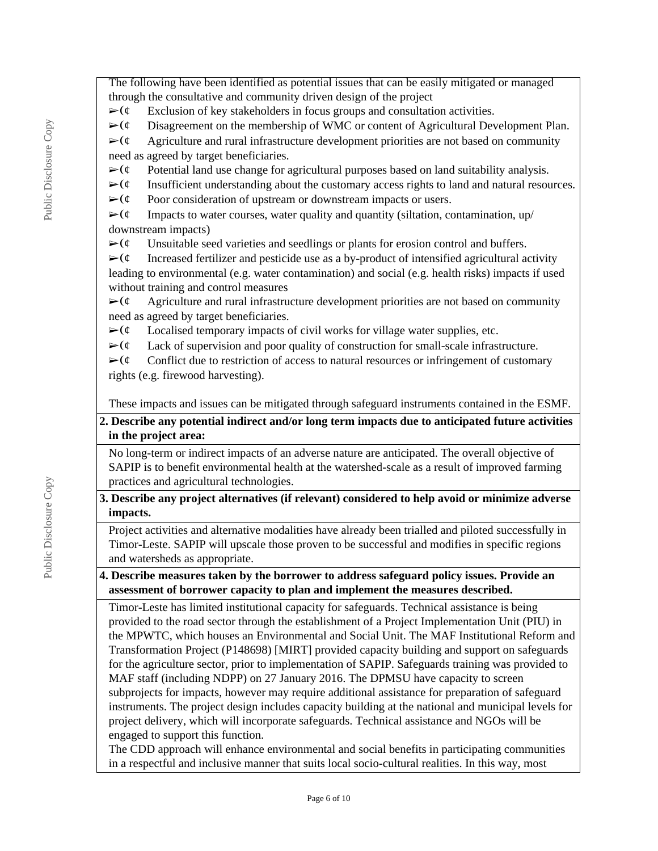The following have been identified as potential issues that can be easily mitigated or managed through the consultative and community driven design of the project

 $\triangleright$  ( $\phi$  Exclusion of key stakeholders in focus groups and consultation activities.

 $\triangleright$  ( $\circ$  Disagreement on the membership of WMC or content of Agricultural Development Plan.

- $\triangleright$  ( $\circ$  Agriculture and rural infrastructure development priorities are not based on community need as agreed by target beneficiaries.
- $\triangleright$  ( $\phi$  Potential land use change for agricultural purposes based on land suitability analysis.
- $\triangleright$  ( $\circ$  Insufficient understanding about the customary access rights to land and natural resources.
- $\triangleright$  ( $\phi$  Poor consideration of upstream or downstream impacts or users.

 $\triangleright$  ( $\circ$  Impacts to water courses, water quality and quantity (siltation, contamination, up/ downstream impacts)

 $\triangleright$  ( $\epsilon$  Unsuitable seed varieties and seedlings or plants for erosion control and buffers.

 $\triangleright$  ( $\phi$  Increased fertilizer and pesticide use as a by-product of intensified agricultural activity leading to environmental (e.g. water contamination) and social (e.g. health risks) impacts if used without training and control measures

 $\triangleright$  ( $\circ$  Agriculture and rural infrastructure development priorities are not based on community need as agreed by target beneficiaries.

 $\triangleright$  ( $\circ$  Localised temporary impacts of civil works for village water supplies, etc.

 $\triangleright$  ( $\circ$  Lack of supervision and poor quality of construction for small-scale infrastructure.

 $\triangleright$  ( $\circ$  Conflict due to restriction of access to natural resources or infringement of customary rights (e.g. firewood harvesting).

These impacts and issues can be mitigated through safeguard instruments contained in the ESMF.

### **2. Describe any potential indirect and/or long term impacts due to anticipated future activities in the project area:**

No long-term or indirect impacts of an adverse nature are anticipated. The overall objective of SAPIP is to benefit environmental health at the watershed-scale as a result of improved farming practices and agricultural technologies.

**3. Describe any project alternatives (if relevant) considered to help avoid or minimize adverse impacts.**

Project activities and alternative modalities have already been trialled and piloted successfully in Timor-Leste. SAPIP will upscale those proven to be successful and modifies in specific regions and watersheds as appropriate.

**4. Describe measures taken by the borrower to address safeguard policy issues. Provide an assessment of borrower capacity to plan and implement the measures described.**

Timor-Leste has limited institutional capacity for safeguards. Technical assistance is being provided to the road sector through the establishment of a Project Implementation Unit (PIU) in the MPWTC, which houses an Environmental and Social Unit. The MAF Institutional Reform and Transformation Project (P148698) [MIRT] provided capacity building and support on safeguards for the agriculture sector, prior to implementation of SAPIP. Safeguards training was provided to MAF staff (including NDPP) on 27 January 2016. The DPMSU have capacity to screen subprojects for impacts, however may require additional assistance for preparation of safeguard instruments. The project design includes capacity building at the national and municipal levels for project delivery, which will incorporate safeguards. Technical assistance and NGOs will be engaged to support this function.

The CDD approach will enhance environmental and social benefits in participating communities in a respectful and inclusive manner that suits local socio-cultural realities. In this way, most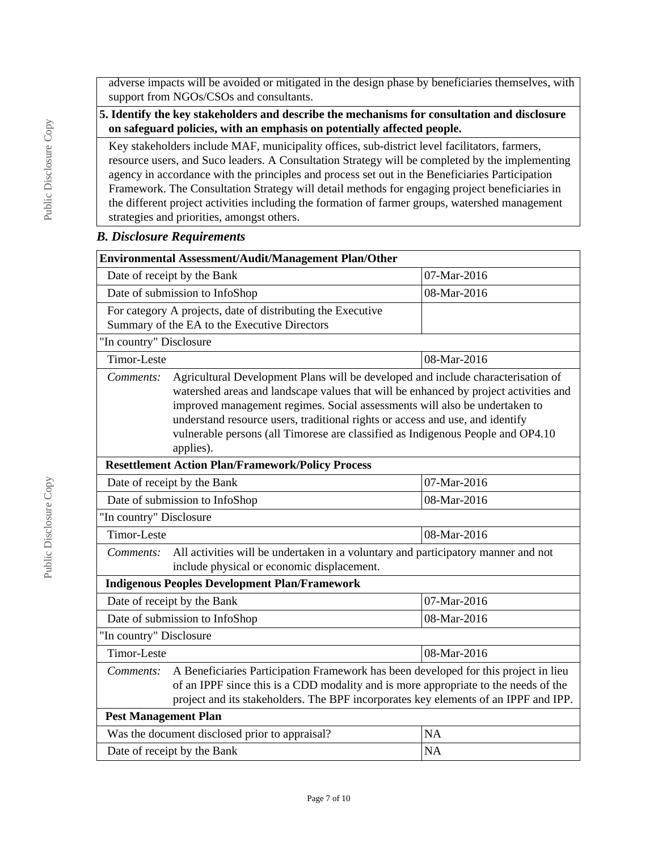adverse impacts will be avoided or mitigated in the design phase by beneficiaries themselves, with support from NGOs/CSOs and consultants.

#### **5. Identify the key stakeholders and describe the mechanisms for consultation and disclosure on safeguard policies, with an emphasis on potentially affected people.**

Key stakeholders include MAF, municipality offices, sub-district level facilitators, farmers, resource users, and Suco leaders. A Consultation Strategy will be completed by the implementing agency in accordance with the principles and process set out in the Beneficiaries Participation Framework. The Consultation Strategy will detail methods for engaging project beneficiaries in the different project activities including the formation of farmer groups, watershed management strategies and priorities, amongst others.

### *B. Disclosure Requirements*

| Environmental Assessment/Audit/Management Plan/Other                                                                                                                                                                                                                                                                                                                                                                                                 |                                                                                                                                 |             |  |  |  |
|------------------------------------------------------------------------------------------------------------------------------------------------------------------------------------------------------------------------------------------------------------------------------------------------------------------------------------------------------------------------------------------------------------------------------------------------------|---------------------------------------------------------------------------------------------------------------------------------|-------------|--|--|--|
|                                                                                                                                                                                                                                                                                                                                                                                                                                                      | Date of receipt by the Bank                                                                                                     | 07-Mar-2016 |  |  |  |
|                                                                                                                                                                                                                                                                                                                                                                                                                                                      | Date of submission to InfoShop                                                                                                  | 08-Mar-2016 |  |  |  |
|                                                                                                                                                                                                                                                                                                                                                                                                                                                      | For category A projects, date of distributing the Executive                                                                     |             |  |  |  |
|                                                                                                                                                                                                                                                                                                                                                                                                                                                      | Summary of the EA to the Executive Directors                                                                                    |             |  |  |  |
| "In country" Disclosure                                                                                                                                                                                                                                                                                                                                                                                                                              |                                                                                                                                 |             |  |  |  |
| <b>Timor-Leste</b>                                                                                                                                                                                                                                                                                                                                                                                                                                   |                                                                                                                                 | 08-Mar-2016 |  |  |  |
| Agricultural Development Plans will be developed and include characterisation of<br>Comments:<br>watershed areas and landscape values that will be enhanced by project activities and<br>improved management regimes. Social assessments will also be undertaken to<br>understand resource users, traditional rights or access and use, and identify<br>vulnerable persons (all Timorese are classified as Indigenous People and OP4.10<br>applies). |                                                                                                                                 |             |  |  |  |
|                                                                                                                                                                                                                                                                                                                                                                                                                                                      | <b>Resettlement Action Plan/Framework/Policy Process</b>                                                                        |             |  |  |  |
| 07-Mar-2016<br>Date of receipt by the Bank                                                                                                                                                                                                                                                                                                                                                                                                           |                                                                                                                                 |             |  |  |  |
| Date of submission to InfoShop<br>08-Mar-2016                                                                                                                                                                                                                                                                                                                                                                                                        |                                                                                                                                 |             |  |  |  |
| "In country" Disclosure                                                                                                                                                                                                                                                                                                                                                                                                                              |                                                                                                                                 |             |  |  |  |
| Timor-Leste<br>08-Mar-2016                                                                                                                                                                                                                                                                                                                                                                                                                           |                                                                                                                                 |             |  |  |  |
| Comments:                                                                                                                                                                                                                                                                                                                                                                                                                                            | All activities will be undertaken in a voluntary and participatory manner and not<br>include physical or economic displacement. |             |  |  |  |
|                                                                                                                                                                                                                                                                                                                                                                                                                                                      | <b>Indigenous Peoples Development Plan/Framework</b>                                                                            |             |  |  |  |
| Date of receipt by the Bank                                                                                                                                                                                                                                                                                                                                                                                                                          |                                                                                                                                 | 07-Mar-2016 |  |  |  |
|                                                                                                                                                                                                                                                                                                                                                                                                                                                      | Date of submission to InfoShop                                                                                                  | 08-Mar-2016 |  |  |  |
| "In country" Disclosure                                                                                                                                                                                                                                                                                                                                                                                                                              |                                                                                                                                 |             |  |  |  |
| Timor-Leste<br>08-Mar-2016                                                                                                                                                                                                                                                                                                                                                                                                                           |                                                                                                                                 |             |  |  |  |
| A Beneficiaries Participation Framework has been developed for this project in lieu<br>Comments:<br>of an IPPF since this is a CDD modality and is more appropriate to the needs of the<br>project and its stakeholders. The BPF incorporates key elements of an IPPF and IPP.                                                                                                                                                                       |                                                                                                                                 |             |  |  |  |
| <b>Pest Management Plan</b>                                                                                                                                                                                                                                                                                                                                                                                                                          |                                                                                                                                 |             |  |  |  |
| Was the document disclosed prior to appraisal?<br><b>NA</b>                                                                                                                                                                                                                                                                                                                                                                                          |                                                                                                                                 |             |  |  |  |
| Date of receipt by the Bank<br><b>NA</b>                                                                                                                                                                                                                                                                                                                                                                                                             |                                                                                                                                 |             |  |  |  |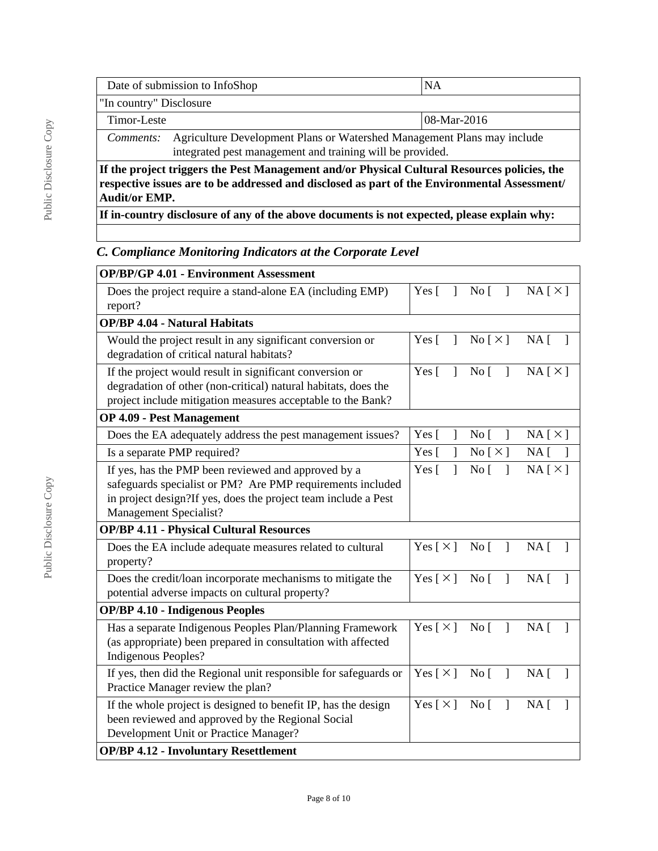|                                                           | Date of submission to InfoShop                                          | ΝA |  |  |
|-----------------------------------------------------------|-------------------------------------------------------------------------|----|--|--|
| "In country" Disclosure                                   |                                                                         |    |  |  |
|                                                           | $ 08 - Mar - 2016 $<br>Timor-Leste                                      |    |  |  |
| Comments:                                                 | Agriculture Development Plans or Watershed Management Plans may include |    |  |  |
| integrated pest management and training will be provided. |                                                                         |    |  |  |
| $T(1 \quad 1 \quad 1 \quad 1 \quad 1)$                    |                                                                         |    |  |  |

**If the project triggers the Pest Management and/or Physical Cultural Resources policies, the respective issues are to be addressed and disclosed as part of the Environmental Assessment/ Audit/or EMP.**

**If in-country disclosure of any of the above documents is not expected, please explain why:**

# *C. Compliance Monitoring Indicators at the Corporate Level*

| <b>OP/BP/GP 4.01 - Environment Assessment</b>                                                                                                                                                                 |                                |                                             |                                             |
|---------------------------------------------------------------------------------------------------------------------------------------------------------------------------------------------------------------|--------------------------------|---------------------------------------------|---------------------------------------------|
| Does the project require a stand-alone EA (including EMP)<br>report?                                                                                                                                          | Yes $\lceil$<br>$\mathbf{1}$   | $\overline{N}$ o [ ]                        | $NA \upharpoonright \times \upharpoonright$ |
| <b>OP/BP 4.04 - Natural Habitats</b>                                                                                                                                                                          |                                |                                             |                                             |
| Would the project result in any significant conversion or<br>degradation of critical natural habitats?                                                                                                        | Yes $\lceil$<br>$\mathbf{I}$   | No [ $\times$ ]                             | $NA \lceil$                                 |
| If the project would result in significant conversion or<br>degradation of other (non-critical) natural habitats, does the<br>project include mitigation measures acceptable to the Bank?                     | $Yes \Gamma$<br>$\overline{1}$ | $\overline{N}$ o [ ]                        | $NA \upharpoonright \times \upharpoonright$ |
| <b>OP 4.09 - Pest Management</b>                                                                                                                                                                              |                                |                                             |                                             |
| Does the EA adequately address the pest management issues?                                                                                                                                                    | Yes [<br>$\mathbf{I}$          | No [<br>$\mathbf{1}$                        | NA[X]                                       |
| Is a separate PMP required?                                                                                                                                                                                   | Yes [                          | No $[\times]$                               | $NA \lceil$                                 |
| If yes, has the PMP been reviewed and approved by a<br>safeguards specialist or PM? Are PMP requirements included<br>in project design?If yes, does the project team include a Pest<br>Management Specialist? | $\mathbf{I}$<br>Yes $\lceil$   | No <sub>1</sub><br>$\overline{\phantom{a}}$ | NA[X]                                       |
| <b>OP/BP 4.11 - Physical Cultural Resources</b>                                                                                                                                                               |                                |                                             |                                             |
| Does the EA include adequate measures related to cultural<br>property?                                                                                                                                        | Yes $\lceil \times \rceil$     | $No [$ ]                                    | NA <sub>1</sub>                             |
| Does the credit/loan incorporate mechanisms to mitigate the<br>potential adverse impacts on cultural property?                                                                                                | Yes $\lceil \times \rceil$     | No <sub>1</sub><br>$\overline{1}$           | NA <sub>1</sub>                             |
| <b>OP/BP 4.10 - Indigenous Peoples</b>                                                                                                                                                                        |                                |                                             |                                             |
| Has a separate Indigenous Peoples Plan/Planning Framework<br>(as appropriate) been prepared in consultation with affected<br>Indigenous Peoples?                                                              | Yes $\lceil \times \rceil$     | No [ ]                                      | $NA \lceil$                                 |
| If yes, then did the Regional unit responsible for safeguards or<br>Practice Manager review the plan?                                                                                                         | Yes $\lceil \times \rceil$     | No [                                        | $NA \lceil$<br>$\mathbf{1}$                 |
| If the whole project is designed to benefit IP, has the design<br>been reviewed and approved by the Regional Social<br>Development Unit or Practice Manager?                                                  | Yes $\lceil \times \rceil$     | No <sub>1</sub><br>$\overline{1}$           | $NA \Gamma$                                 |
| <b>OP/BP 4.12 - Involuntary Resettlement</b>                                                                                                                                                                  |                                |                                             |                                             |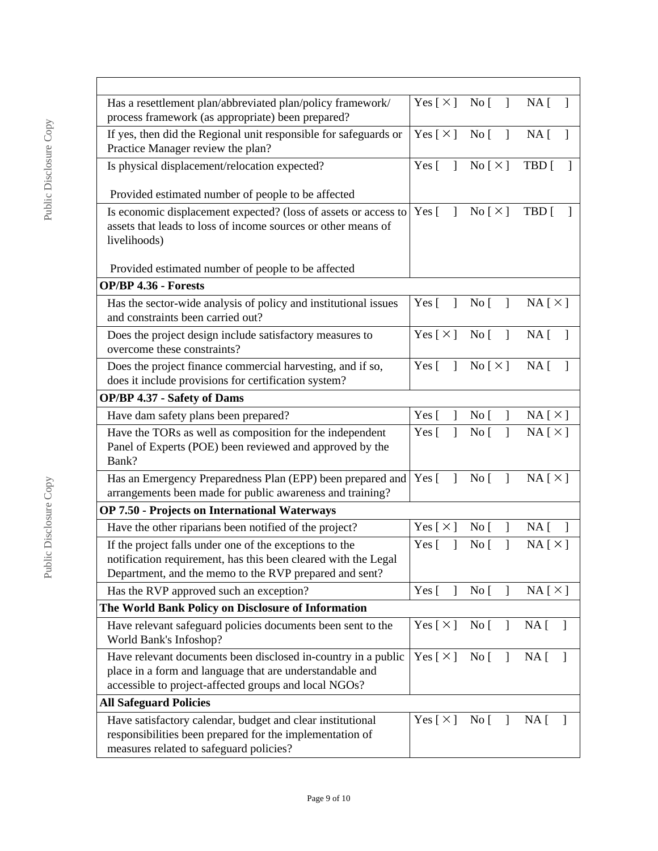| Has a resettlement plan/abbreviated plan/policy framework/<br>process framework (as appropriate) been prepared?                                                                     | Yes $[\times]$ No $[\ ]$     |                                                 | NA [<br>-1                                  |
|-------------------------------------------------------------------------------------------------------------------------------------------------------------------------------------|------------------------------|-------------------------------------------------|---------------------------------------------|
| If yes, then did the Regional unit responsible for safeguards or<br>Practice Manager review the plan?                                                                               | Yes [ $\times$ ]             | No [<br>$\mathbf{1}$                            | $NA$ [<br>-1                                |
| Is physical displacement/relocation expected?                                                                                                                                       | Yes $\lceil$<br>$\mathbf{I}$ | No $[\times]$                                   | TBD [                                       |
| Provided estimated number of people to be affected                                                                                                                                  |                              |                                                 |                                             |
| Is economic displacement expected? (loss of assets or access to<br>assets that leads to loss of income sources or other means of<br>livelihoods)                                    | Yes $\lceil$<br>1            | No $[\times]$                                   | TBD [                                       |
| Provided estimated number of people to be affected                                                                                                                                  |                              |                                                 |                                             |
| <b>OP/BP 4.36 - Forests</b>                                                                                                                                                         |                              |                                                 |                                             |
| Has the sector-wide analysis of policy and institutional issues<br>and constraints been carried out?                                                                                | Yes $\lceil$<br>$\mathbf{I}$ | No [<br>$\mathbf{I}$                            | $NA \upharpoonright \times \upharpoonright$ |
| Does the project design include satisfactory measures to<br>overcome these constraints?                                                                                             | $Yes [ \times ] No [ ]$      |                                                 | $NA$ [ ]                                    |
| Does the project finance commercial harvesting, and if so,<br>does it include provisions for certification system?                                                                  | Yes $\lceil$<br>$\mathbf{1}$ | No [ $\times$ ]                                 | $NA$ [<br>$\mathbf{1}$                      |
| <b>OP/BP 4.37 - Safety of Dams</b>                                                                                                                                                  |                              |                                                 |                                             |
| Have dam safety plans been prepared?                                                                                                                                                | Yes [                        | No <sub>[</sub> ]                               | NA[X]                                       |
| Have the TORs as well as composition for the independent<br>Panel of Experts (POE) been reviewed and approved by the<br>Bank?                                                       | Yes $\lceil$<br>1            | $\mathbf{I}$<br>No <sub>1</sub>                 | NA[X]                                       |
| Has an Emergency Preparedness Plan (EPP) been prepared and<br>arrangements been made for public awareness and training?                                                             | Yes $\lceil$<br>1            | No <sub>1</sub><br>1                            | NA[X]                                       |
| <b>OP 7.50 - Projects on International Waterways</b>                                                                                                                                |                              |                                                 |                                             |
| Have the other riparians been notified of the project?                                                                                                                              | Yes [ $\times$ ]             | No <sub>[</sub> ]                               | NA [<br>$\overline{\phantom{a}}$            |
| If the project falls under one of the exceptions to the<br>notification requirement, has this been cleared with the Legal<br>Department, and the memo to the RVP prepared and sent? | Yes $\lceil$<br>1            | No <sub>[</sub>                                 | $NA \upharpoonright \times \upharpoonright$ |
| Has the RVP approved such an exception?                                                                                                                                             | Yes [<br>1                   | No [<br>1                                       | NA[X]                                       |
| The World Bank Policy on Disclosure of Information                                                                                                                                  |                              |                                                 |                                             |
| Have relevant safeguard policies documents been sent to the<br>World Bank's Infoshop?                                                                                               | Yes $[\times]$               | No [                                            | $NA$ [ ]                                    |
| Have relevant documents been disclosed in-country in a public<br>place in a form and language that are understandable and<br>accessible to project-affected groups and local NGOs?  | Yes $[\times]$               | No [<br>$\mathbf{1}$                            | $NA$ [<br>$\overline{1}$                    |
| <b>All Safeguard Policies</b>                                                                                                                                                       |                              |                                                 |                                             |
| Have satisfactory calendar, budget and clear institutional<br>responsibilities been prepared for the implementation of<br>measures related to safeguard policies?                   | Yes [ $\times$ ]             | $\overline{N}$ o $\overline{[}$<br>$\mathbf{I}$ | NA [<br>-1                                  |